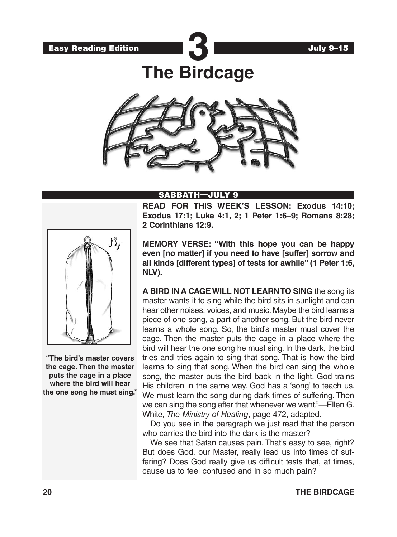

**The Birdcage**



### SABBATH—JULY 9

**READ FOR THIS WEEK'S LESSON: Exodus 14:10; Exodus 17:1; Luke 4:1, 2; 1 Peter 1:6–9; Romans 8:28; 2 Corinthians 12:9.**



**"The bird's master covers the cage. Then the master puts the cage in a place where the bird will hear the one song he must sing."** **MEMORY VERSE: "With this hope you can be happy even [no matter] if you need to have [suffer] sorrow and all kinds [different types] of tests for awhile" (1 Peter 1:6, NLV).**

**A BIRD IN A CAGE WILL NOT LEARN TO SING** the song its master wants it to sing while the bird sits in sunlight and can hear other noises, voices, and music. Maybe the bird learns a piece of one song, a part of another song. But the bird never learns a whole song. So, the bird's master must cover the cage. Then the master puts the cage in a place where the bird will hear the one song he must sing. In the dark, the bird tries and tries again to sing that song. That is how the bird learns to sing that song. When the bird can sing the whole song, the master puts the bird back in the light. God trains His children in the same way. God has a 'song' to teach us. We must learn the song during dark times of suffering. Then we can sing the song after that whenever we want."—Ellen G. White, *The Ministry of Healing*, page 472, adapted.

Do you see in the paragraph we just read that the person who carries the bird into the dark is the master?

We see that Satan causes pain. That's easy to see, right? But does God, our Master, really lead us into times of suffering? Does God really give us difficult tests that, at times, cause us to feel confused and in so much pain?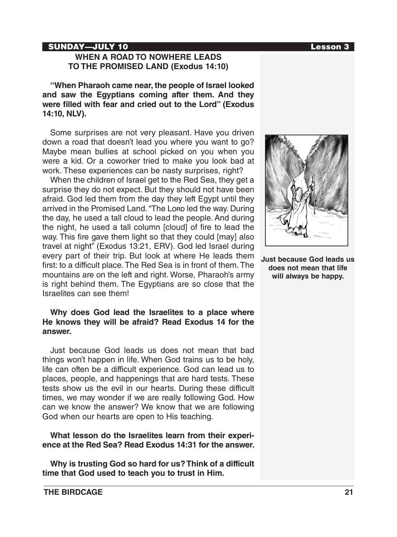### SUNDAY—JULY 10 **Lesson 3**

### **WHEN A ROAD TO NOWHERE LEADS TO THE PROMISED LAND (Exodus 14:10)**

**"When Pharaoh came near, the people of Israel looked and saw the Egyptians coming after them. And they were filled with fear and cried out to the Lord" (Exodus 14:10, NLV).**

Some surprises are not very pleasant. Have you driven down a road that doesn't lead you where you want to go? Maybe mean bullies at school picked on you when you were a kid. Or a coworker tried to make you look bad at work. These experiences can be nasty surprises, right?

When the children of Israel get to the Red Sea, they get a surprise they do not expect. But they should not have been afraid. God led them from the day they left Egypt until they arrived in the Promised Land. "The Lorp led the way. During the day, he used a tall cloud to lead the people. And during the night, he used a tall column [cloud] of fire to lead the way. This fire gave them light so that they could [may] also travel at night" (Exodus 13:21, ERV). God led Israel during every part of their trip. But look at where He leads them first: to a difficult place. The Red Sea is in front of them. The mountains are on the left and right. Worse, Pharaoh's army is right behind them. The Egyptians are so close that the Israelites can see them!

### **Why does God lead the Israelites to a place where He knows they will be afraid? Read Exodus 14 for the answer.**

Just because God leads us does not mean that bad things won't happen in life. When God trains us to be holy, life can often be a difficult experience. God can lead us to places, people, and happenings that are hard tests. These tests show us the evil in our hearts. During these difficult times, we may wonder if we are really following God. How can we know the answer? We know that we are following God when our hearts are open to His teaching.

**What lesson do the Israelites learn from their experience at the Red Sea? Read Exodus 14:31 for the answer.**

**Why is trusting God so hard for us? Think of a difficult time that God used to teach you to trust in Him.**



**Just because God leads us does not mean that life will always be happy.**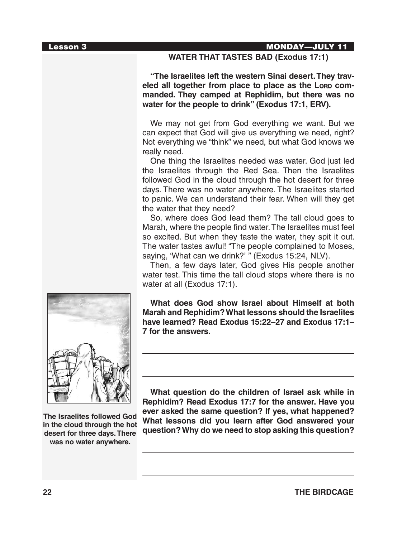### Lesson 3 MONDAY—JULY 11

### **WATER THAT TASTES BAD (Exodus 17:1)**

**"The Israelites left the western Sinai desert. They trav**eled all together from place to place as the Lorp com**manded. They camped at Rephidim, but there was no water for the people to drink" (Exodus 17:1, ERV).**

We may not get from God everything we want. But we can expect that God will give us everything we need, right? Not everything we "think" we need, but what God knows we really need.

One thing the Israelites needed was water. God just led the Israelites through the Red Sea. Then the Israelites followed God in the cloud through the hot desert for three days. There was no water anywhere. The Israelites started to panic. We can understand their fear. When will they get the water that they need?

So, where does God lead them? The tall cloud goes to Marah, where the people find water. The Israelites must feel so excited. But when they taste the water, they spit it out. The water tastes awful! "The people complained to Moses, saying, 'What can we drink?' " (Exodus 15:24, NLV).

Then, a few days later, God gives His people another water test. This time the tall cloud stops where there is no water at all (Exodus 17:1).

**What does God show Israel about Himself at both Marah and Rephidim? What lessons should the Israelites have learned? Read Exodus 15:22–27 and Exodus 17:1– 7 for the answers.**



**The Israelites followed God in the cloud through the hot desert for three days. There was no water anywhere.**

**What question do the children of Israel ask while in Rephidim? Read Exodus 17:7 for the answer. Have you ever asked the same question? If yes, what happened? What lessons did you learn after God answered your question? Why do we need to stop asking this question?**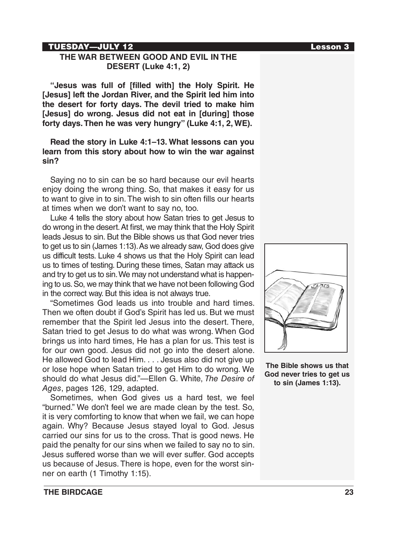### TUESDAY—JULY 12 Lesson 3

## **THE WAR BETWEEN GOOD AND EVIL IN THE DESERT (Luke 4:1, 2)**

**"Jesus was full of [filled with] the Holy Spirit. He [Jesus] left the Jordan River, and the Spirit led him into the desert for forty days. The devil tried to make him [Jesus] do wrong. Jesus did not eat in [during] those forty days. Then he was very hungry" (Luke 4:1, 2, WE).**

### **Read the story in Luke 4:1–13. What lessons can you learn from this story about how to win the war against sin?**

Saying no to sin can be so hard because our evil hearts enjoy doing the wrong thing. So, that makes it easy for us to want to give in to sin. The wish to sin often fills our hearts at times when we don't want to say no, too.

Luke 4 tells the story about how Satan tries to get Jesus to do wrong in the desert. At first, we may think that the Holy Spirit leads Jesus to sin. But the Bible shows us that God never tries to get us to sin (James 1:13). As we already saw, God does give us difficult tests. Luke 4 shows us that the Holy Spirit can lead us to times of testing. During these times, Satan may attack us and try to get us to sin. We may not understand what is happening to us. So, we may think that we have not been following God in the correct way. But this idea is not always true.

"Sometimes God leads us into trouble and hard times. Then we often doubt if God's Spirit has led us. But we must remember that the Spirit led Jesus into the desert. There, Satan tried to get Jesus to do what was wrong. When God brings us into hard times, He has a plan for us. This test is for our own good. Jesus did not go into the desert alone. He allowed God to lead Him. . . . Jesus also did not give up or lose hope when Satan tried to get Him to do wrong. We should do what Jesus did."—Ellen G. White, *The Desire of Ages*, pages 126, 129, adapted.

Sometimes, when God gives us a hard test, we feel "burned." We don't feel we are made clean by the test. So, it is very comforting to know that when we fail, we can hope again. Why? Because Jesus stayed loyal to God. Jesus carried our sins for us to the cross. That is good news. He paid the penalty for our sins when we failed to say no to sin. Jesus suffered worse than we will ever suffer. God accepts us because of Jesus. There is hope, even for the worst sinner on earth (1 Timothy 1:15).



**The Bible shows us that God never tries to get us to sin (James 1:13).**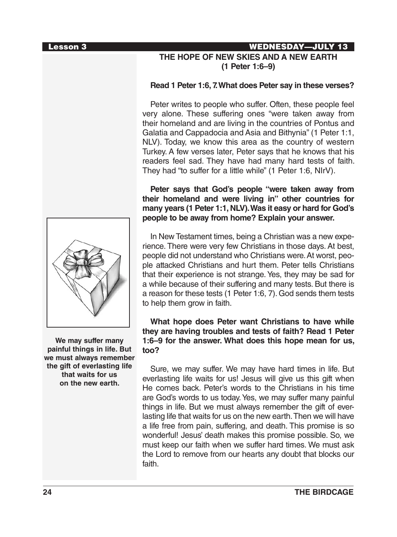

# **THE HOPE OF NEW SKIES AND A NEW EARTH (1 Peter 1:6–9)**

### **Read 1 Peter 1:6, 7. What does Peter say in these verses?**

Peter writes to people who suffer. Often, these people feel very alone. These suffering ones "were taken away from their homeland and are living in the countries of Pontus and Galatia and Cappadocia and Asia and Bithynia" (1 Peter 1:1, NLV). Today, we know this area as the country of western Turkey. A few verses later, Peter says that he knows that his readers feel sad. They have had many hard tests of faith. They had "to suffer for a little while" (1 Peter 1:6, NIrV).

**Peter says that God's people "were taken away from their homeland and were living in" other countries for many years (1 Peter 1:1, NLV). Was it easy or hard for God's people to be away from home? Explain your answer.**

In New Testament times, being a Christian was a new experience. There were very few Christians in those days. At best, people did not understand who Christians were. At worst, people attacked Christians and hurt them. Peter tells Christians that their experience is not strange. Yes, they may be sad for a while because of their suffering and many tests. But there is a reason for these tests (1 Peter 1:6, 7). God sends them tests to help them grow in faith.

**What hope does Peter want Christians to have while they are having troubles and tests of faith? Read 1 Peter 1:6–9 for the answer. What does this hope mean for us, too?**

Sure, we may suffer. We may have hard times in life. But everlasting life waits for us! Jesus will give us this gift when He comes back. Peter's words to the Christians in his time are God's words to us today. Yes, we may suffer many painful things in life. But we must always remember the gift of everlasting life that waits for us on the new earth. Then we will have a life free from pain, suffering, and death. This promise is so wonderful! Jesus' death makes this promise possible. So, we must keep our faith when we suffer hard times. We must ask the Lord to remove from our hearts any doubt that blocks our faith.



**We may suffer many painful things in life. But we must always remember the gift of everlasting life that waits for us on the new earth.**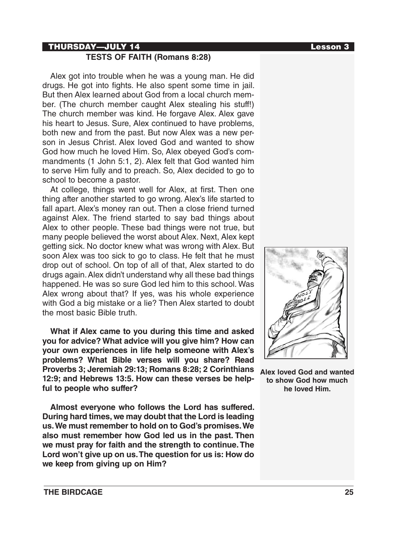### THURSDAY—JULY 14 Lesson 3

## **TESTS OF FAITH (Romans 8:28)**

Alex got into trouble when he was a young man. He did drugs. He got into fights. He also spent some time in jail. But then Alex learned about God from a local church member. (The church member caught Alex stealing his stuff!) The church member was kind. He forgave Alex. Alex gave his heart to Jesus. Sure, Alex continued to have problems, both new and from the past. But now Alex was a new person in Jesus Christ. Alex loved God and wanted to show God how much he loved Him. So, Alex obeyed God's commandments (1 John 5:1, 2). Alex felt that God wanted him to serve Him fully and to preach. So, Alex decided to go to school to become a pastor.

At college, things went well for Alex, at first. Then one thing after another started to go wrong. Alex's life started to fall apart. Alex's money ran out. Then a close friend turned against Alex. The friend started to say bad things about Alex to other people. These bad things were not true, but many people believed the worst about Alex. Next, Alex kept getting sick. No doctor knew what was wrong with Alex. But soon Alex was too sick to go to class. He felt that he must drop out of school. On top of all of that, Alex started to do drugs again. Alex didn't understand why all these bad things happened. He was so sure God led him to this school. Was Alex wrong about that? If yes, was his whole experience with God a big mistake or a lie? Then Alex started to doubt the most basic Bible truth.

**What if Alex came to you during this time and asked you for advice? What advice will you give him? How can your own experiences in life help someone with Alex's problems? What Bible verses will you share? Read Proverbs 3; Jeremiah 29:13; Romans 8:28; 2 Corinthians 12:9; and Hebrews 13:5. How can these verses be helpful to people who suffer?**

**Almost everyone who follows the Lord has suffered. During hard times, we may doubt that the Lord is leading us. We must remember to hold on to God's promises. We also must remember how God led us in the past. Then we must pray for faith and the strength to continue. The Lord won't give up on us. The question for us is: How do we keep from giving up on Him?**



**Alex loved God and wanted to show God how much he loved Him.**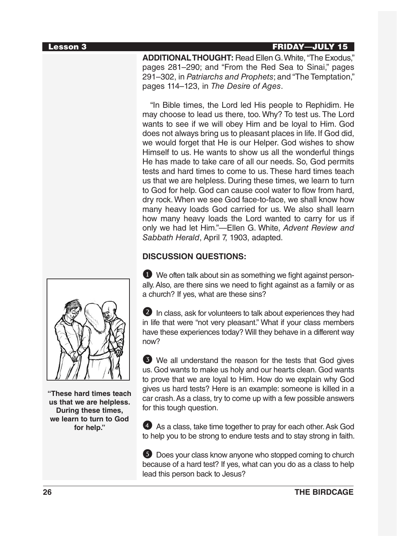### Lesson 3 FRIDAY**—**JULY 15

**ADDITIONAL THOUGHT:** Read Ellen G. White, "The Exodus," pages 281–290; and "From the Red Sea to Sinai," pages 291–302, in *Patriarchs and Prophets*; and "The Temptation," pages 114–123, in *The Desire of Ages*.

"In Bible times, the Lord led His people to Rephidim. He may choose to lead us there, too. Why? To test us. The Lord wants to see if we will obey Him and be loyal to Him. God does not always bring us to pleasant places in life. If God did, we would forget that He is our Helper. God wishes to show Himself to us. He wants to show us all the wonderful things He has made to take care of all our needs. So, God permits tests and hard times to come to us. These hard times teach us that we are helpless. During these times, we learn to turn to God for help. God can cause cool water to flow from hard, dry rock. When we see God face-to-face, we shall know how many heavy loads God carried for us. We also shall learn how many heavy loads the Lord wanted to carry for us if only we had let Him."—Ellen G. White, *Advent Review and Sabbath Herald*, April 7, 1903, adapted.

## **DISCUSSION QUESTIONS:**

1 We often talk about sin as something we fight against personally. Also, are there sins we need to fight against as a family or as a church? If yes, what are these sins?

2 In class, ask for volunteers to talk about experiences they had in life that were "not very pleasant." What if your class members have these experiences today? Will they behave in a different way now?

3 We all understand the reason for the tests that God gives us. God wants to make us holy and our hearts clean. God wants to prove that we are loyal to Him. How do we explain why God gives us hard tests? Here is an example: someone is killed in a car crash. As a class, try to come up with a few possible answers for this tough question.

4 As a class, take time together to pray for each other. Ask God to help you to be strong to endure tests and to stay strong in faith.

**5** Does your class know anyone who stopped coming to church because of a hard test? If yes, what can you do as a class to help lead this person back to Jesus?



**"These hard times teach us that we are helpless. During these times, we learn to turn to God for help."**